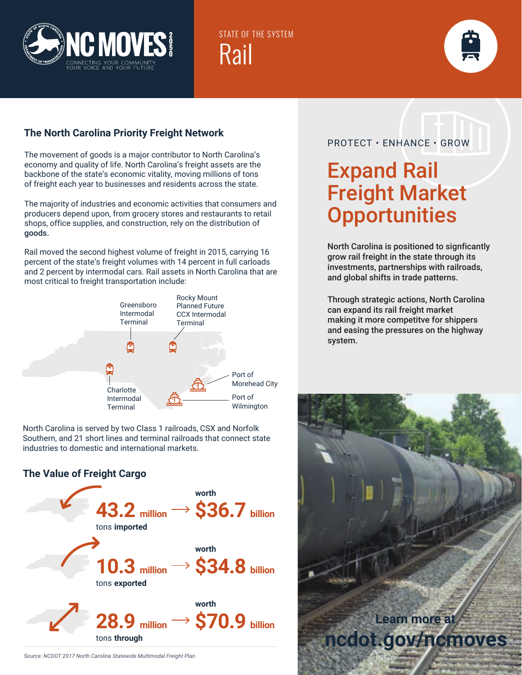

STATE OF THE SYSTEM Rail



#### **The North Carolina Priority Freight Network**

The movement of goods is a major contributor to North Carolina's economy and quality of life. North Carolina's freight assets are the backbone of the state's economic vitality, moving millions of tons of freight each year to businesses and residents across the state.

The majority of industries and economic activities that consumers and producers depend upon, from grocery stores and restaurants to retail shops, office supplies, and construction, rely on the distribution of goods.

Rail moved the second highest volume of freight in 2015, carrying 16 percent of the state's freight volumes with 14 percent in full carloads and 2 percent by intermodal cars. Rail assets in North Carolina that are most critical to freight transportation include:



North Carolina is served by two Class 1 railroads, CSX and Norfolk Southern, and 21 short lines and terminal railroads that connect state industries to domestic and international markets.

#### **The Value of Freight Cargo**



### PROTECT • ENHANCE • GROW

## Expand Rail Freight Market **Opportunities**

North Carolina is positioned to signficantly grow rail freight in the state through its investments, partnerships with railroads, and global shifts in trade patterns.

Through strategic actions, North Carolina can expand its rail freight market making it more competitve for shippers and easing the pressures on the highway system.